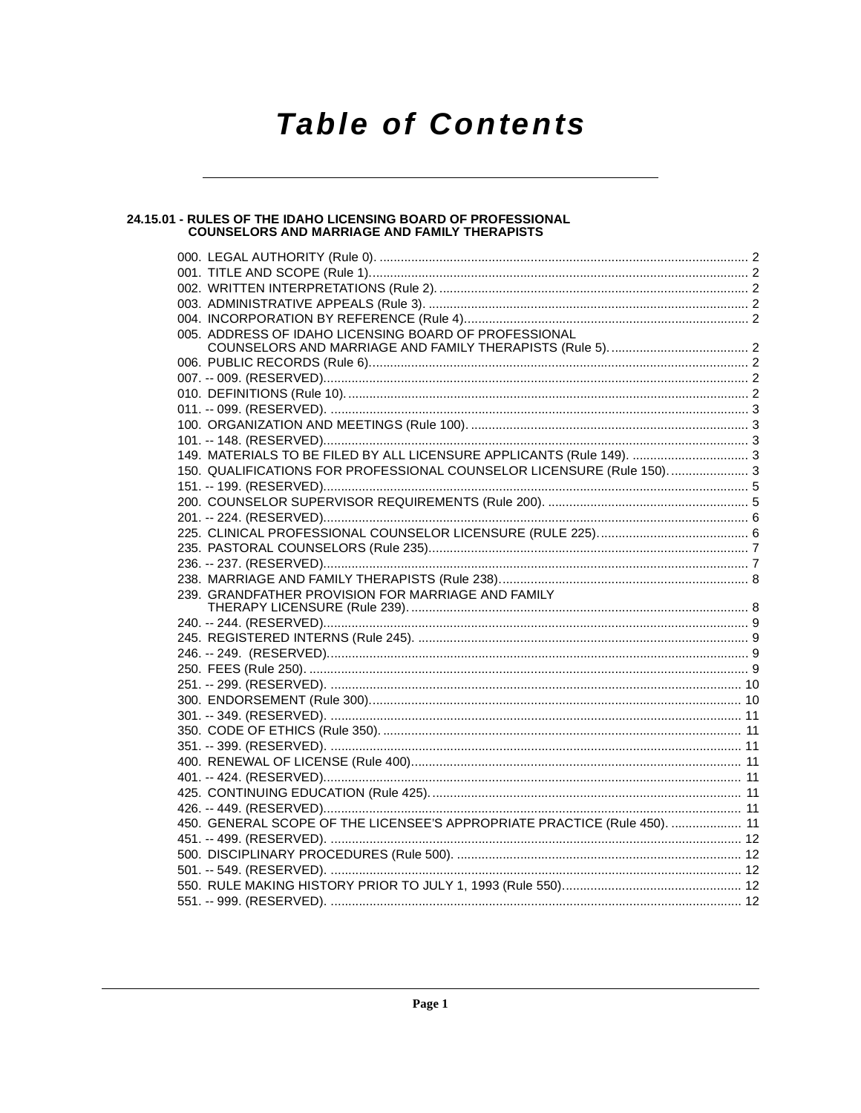# **Table of Contents**

# 24.15.01 - RULES OF THE IDAHO LICENSING BOARD OF PROFESSIONAL<br>COUNSELORS AND MARRIAGE AND FAMILY THERAPISTS

| 005. ADDRESS OF IDAHO LICENSING BOARD OF PROFESSIONAL                     |  |
|---------------------------------------------------------------------------|--|
|                                                                           |  |
|                                                                           |  |
|                                                                           |  |
|                                                                           |  |
|                                                                           |  |
|                                                                           |  |
|                                                                           |  |
| 149. MATERIALS TO BE FILED BY ALL LICENSURE APPLICANTS (Rule 149).  3     |  |
| 150. QUALIFICATIONS FOR PROFESSIONAL COUNSELOR LICENSURE (Rule 150) 3     |  |
|                                                                           |  |
|                                                                           |  |
|                                                                           |  |
|                                                                           |  |
|                                                                           |  |
|                                                                           |  |
|                                                                           |  |
|                                                                           |  |
|                                                                           |  |
|                                                                           |  |
|                                                                           |  |
|                                                                           |  |
|                                                                           |  |
|                                                                           |  |
|                                                                           |  |
|                                                                           |  |
|                                                                           |  |
|                                                                           |  |
|                                                                           |  |
|                                                                           |  |
|                                                                           |  |
| 450. GENERAL SCOPE OF THE LICENSEE'S APPROPRIATE PRACTICE (Rule 450).  11 |  |
|                                                                           |  |
|                                                                           |  |
|                                                                           |  |
|                                                                           |  |
|                                                                           |  |
|                                                                           |  |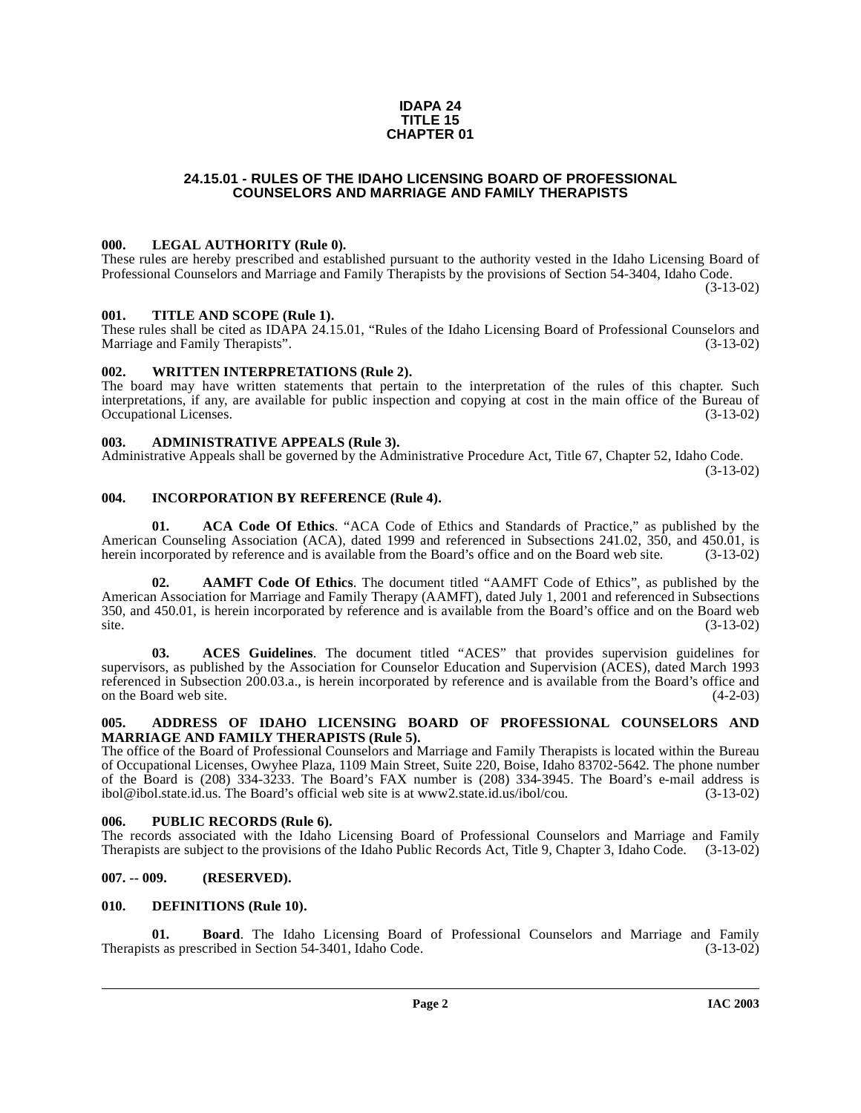#### **IDAPA 24 TITLE 15 CHAPTER 01**

#### **24.15.01 - RULES OF THE IDAHO LICENSING BOARD OF PROFESSIONAL COUNSELORS AND MARRIAGE AND FAMILY THERAPISTS**

#### <span id="page-1-1"></span><span id="page-1-0"></span>**000. LEGAL AUTHORITY (Rule 0).**

These rules are hereby prescribed and established pursuant to the authority vested in the Idaho Licensing Board of Professional Counselors and Marriage and Family Therapists by the provisions of Section 54-3404, Idaho Code. (3-13-02)

#### <span id="page-1-2"></span>**001. TITLE AND SCOPE (Rule 1).**

These rules shall be cited as IDAPA 24.15.01, "Rules of the Idaho Licensing Board of Professional Counselors and Marriage and Family Therapists". (3-13-02)

#### <span id="page-1-3"></span>**002. WRITTEN INTERPRETATIONS (Rule 2).**

The board may have written statements that pertain to the interpretation of the rules of this chapter. Such interpretations, if any, are available for public inspection and copying at cost in the main office of the Bureau of Occupational Licenses. (3-13-02)

#### <span id="page-1-4"></span>**003. ADMINISTRATIVE APPEALS (Rule 3).**

Administrative Appeals shall be governed by the Administrative Procedure Act, Title 67, Chapter 52, Idaho Code. (3-13-02)

#### <span id="page-1-5"></span>**004. INCORPORATION BY REFERENCE (Rule 4).**

**01. ACA Code Of Ethics**. "ACA Code of Ethics and Standards of Practice," as published by the American Counseling Association (ACA), dated 1999 and referenced in Subsections 241.02, 350, and 450.01, is herein incorporated by reference and is available from the Board's office and on the Board web site. (3-13-02)

**02. AAMFT Code Of Ethics**. The document titled "AAMFT Code of Ethics", as published by the American Association for Marriage and Family Therapy (AAMFT), dated July 1, 2001 and referenced in Subsections 350, and 450.01, is herein incorporated by reference and is available from the Board's office and on the Board web  $site.$  (3-13-02)

**03. ACES Guidelines**. The document titled "ACES" that provides supervision guidelines for supervisors, as published by the Association for Counselor Education and Supervision (ACES), dated March 1993 referenced in Subsection 200.03.a., is herein incorporated by reference and is available from the Board's office and on the Board web site. (4-2-03) on the Board web site.

#### <span id="page-1-6"></span>**005. ADDRESS OF IDAHO LICENSING BOARD OF PROFESSIONAL COUNSELORS AND MARRIAGE AND FAMILY THERAPISTS (Rule 5).**

[The office of the Board of Professional Counselors and Marriage and Family Therapists is located within the Bureau](http://www2.state.id.us/ibol/cou) of Occupational Licenses, Owyhee Plaza, 1109 Main Street, Suite 220, Boise, Idaho 83702-5642. The phone number of the Board is (208) 334-3233. The Board's FAX number is (208) 334-3945. The Board's e-mail address is ibol@ibol.state.id.us. The Board's official web site is at www2.state.id.us/ibol/cou. (3-13-02)

#### <span id="page-1-7"></span>**006. PUBLIC RECORDS (Rule 6).**

The records associated with the Idaho Licensing Board of Professional Counselors and Marriage and Family Therapists are subject to the provisions of the Idaho Public Records Act, Title 9, Chapter 3, Idaho Code. (3-13-02)

#### <span id="page-1-8"></span>**007. -- 009. (RESERVED).**

#### <span id="page-1-10"></span><span id="page-1-9"></span>**010. DEFINITIONS (Rule 10).**

**01. Board**. The Idaho Licensing Board of Professional Counselors and Marriage and Family ts as prescribed in Section 54-3401, Idaho Code. (3-13-02) Therapists as prescribed in Section 54-3401, Idaho Code.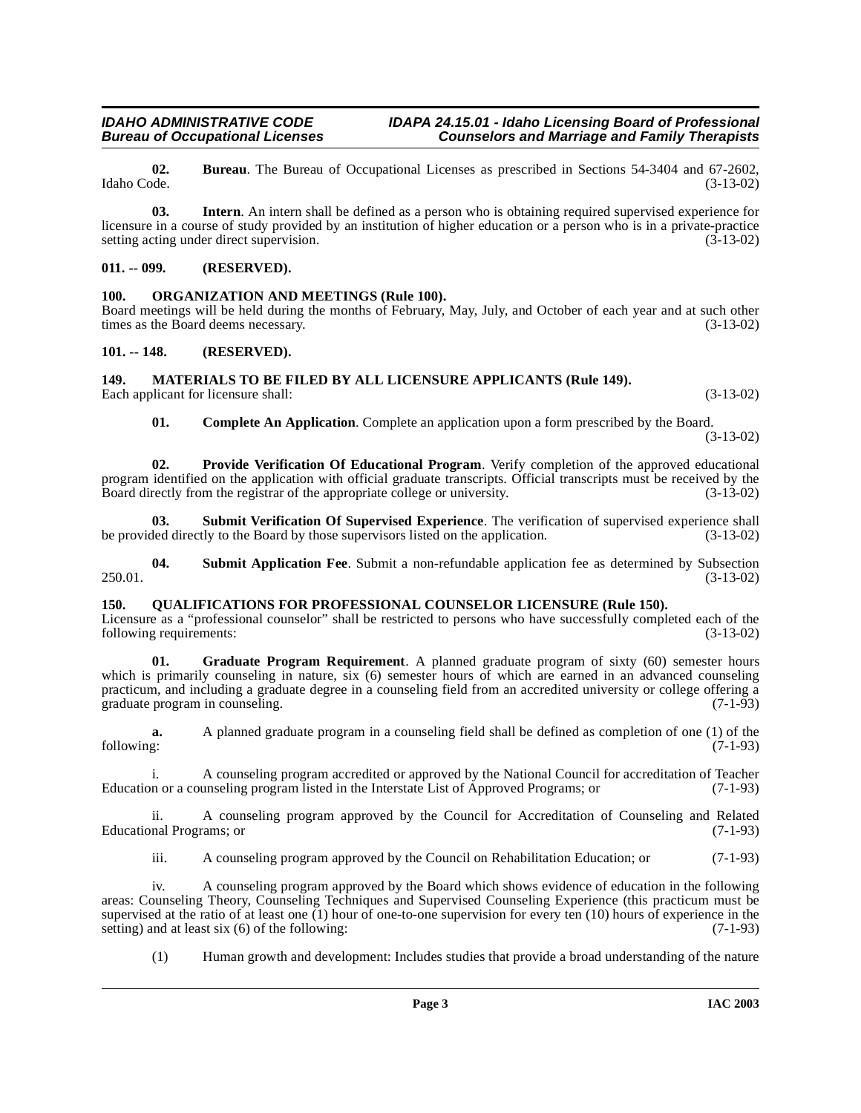# **IDAHO ADMINISTRATIVE CODE IDAPA 24.15.01 - Idaho Licensing Board of Professional<br>Bureau of Occupational Licenses Counselors and Marriage and Family Therapists**

**02.** Bureau. The Bureau of Occupational Licenses as prescribed in Sections 54-3404 and 67-2602, Idaho Code. (3-13-02) Idaho Code. (3-13-02)

**Counselors and Marriage and Family Therapists** 

**03. Intern**. An intern shall be defined as a person who is obtaining required supervised experience for licensure in a course of study provided by an institution of higher education or a person who is in a private-practice setting acting under direct supervision. (3-13-02)

#### <span id="page-2-0"></span>**011. -- 099. (RESERVED).**

#### <span id="page-2-7"></span><span id="page-2-1"></span>**100. ORGANIZATION AND MEETINGS (Rule 100).**

Board meetings will be held during the months of February, May, July, and October of each year and at such other times as the Board deems necessary. (3-13-02) times as the Board deems necessary.

#### <span id="page-2-2"></span>**101. -- 148. (RESERVED).**

#### <span id="page-2-6"></span><span id="page-2-3"></span>**149. MATERIALS TO BE FILED BY ALL LICENSURE APPLICANTS (Rule 149).**

Each applicant for licensure shall: (3-13-02) (3-13-02)

<span id="page-2-11"></span><span id="page-2-10"></span>**01. Complete An Application**. Complete an application upon a form prescribed by the Board. (3-13-02)

**02. Provide Verification Of Educational Program**. Verify completion of the approved educational program identified on the application with official graduate transcripts. Official transcripts must be received by the Board directly from the registrar of the appropriate college or university. (3-13-02) Board directly from the registrar of the appropriate college or university.

**03. Submit Verification Of Supervised Experience**. The verification of supervised experience shall ded directly to the Board by those supervisors listed on the application. (3-13-02) be provided directly to the Board by those supervisors listed on the application.

<span id="page-2-9"></span>**04.** Submit Application Fee. Submit a non-refundable application fee as determined by Subsection (3-13-02) 250.01. (3-13-02)

#### <span id="page-2-8"></span><span id="page-2-4"></span>**150. QUALIFICATIONS FOR PROFESSIONAL COUNSELOR LICENSURE (Rule 150).**

Licensure as a "professional counselor" shall be restricted to persons who have successfully completed each of the following requirements:  $(3-13-02)$ 

<span id="page-2-5"></span>**01. Graduate Program Requirement**. A planned graduate program of sixty (60) semester hours which is primarily counseling in nature, six (6) semester hours of which are earned in an advanced counseling practicum, and including a graduate degree in a counseling field from an accredited university or college offering a graduate program in counseling. (7-1-93)

**a.** A planned graduate program in a counseling field shall be defined as completion of one (1) of the following: (7-1-93) following: (7-1-93)

i. A counseling program accredited or approved by the National Council for accreditation of Teacher<br>n or a counseling program listed in the Interstate List of Approved Programs; or (7-1-93) Education or a counseling program listed in the Interstate List of Approved Programs; or

ii. A counseling program approved by the Council for Accreditation of Counseling and Related Educational Programs; or (7-1-93)

iii. A counseling program approved by the Council on Rehabilitation Education; or (7-1-93)

iv. A counseling program approved by the Board which shows evidence of education in the following areas: Counseling Theory, Counseling Techniques and Supervised Counseling Experience (this practicum must be supervised at the ratio of at least one (1) hour of one-to-one supervision for every ten (10) hours of experience in the setting) and at least six (6) of the following:  $(7-1-93)$ setting) and at least six  $(6)$  of the following:

(1) Human growth and development: Includes studies that provide a broad understanding of the nature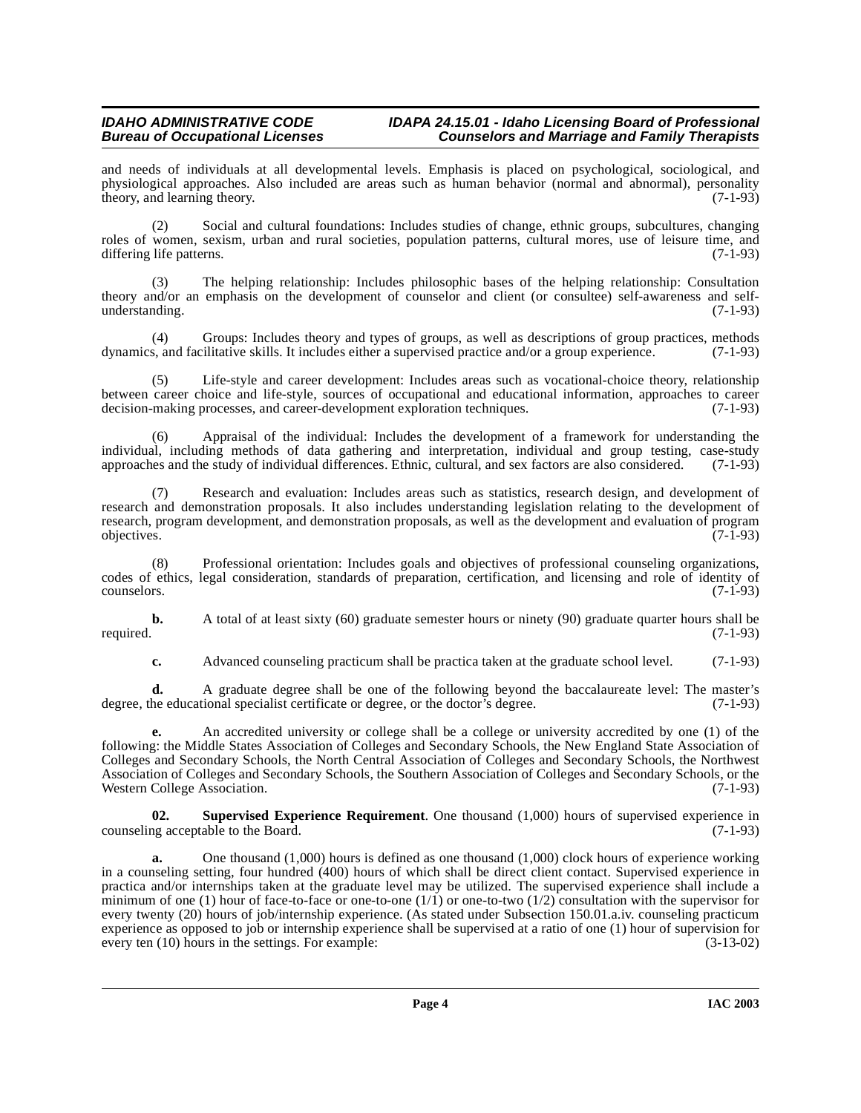#### **IDAHO ADMINISTRATIVE CODE IDAPA 24.15.01 - Idaho Licensing Board of Professional<br>Counselors and Marriage and Family Therapists Counselors and Marriage and Family Therapists**

and needs of individuals at all developmental levels. Emphasis is placed on psychological, sociological, and physiological approaches. Also included are areas such as human behavior (normal and abnormal), personality theory, and learning theory. (7-1-93)

(2) Social and cultural foundations: Includes studies of change, ethnic groups, subcultures, changing roles of women, sexism, urban and rural societies, population patterns, cultural mores, use of leisure time, and differing life patterns. (7-1-93)

(3) The helping relationship: Includes philosophic bases of the helping relationship: Consultation theory and/or an emphasis on the development of counselor and client (or consultee) self-awareness and selfunderstanding. (7-1-93)

(4) Groups: Includes theory and types of groups, as well as descriptions of group practices, methods  $s$ , and facilitative skills. It includes either a supervised practice and/or a group experience. (7-1-93) dynamics, and facilitative skills. It includes either a supervised practice and/or a group experience.

Life-style and career development: Includes areas such as vocational-choice theory, relationship between career choice and life-style, sources of occupational and educational information, approaches to career decision-making processes, and career-development exploration techniques. (7-1-93) decision-making processes, and career-development exploration techniques.

Appraisal of the individual: Includes the development of a framework for understanding the individual, including methods of data gathering and interpretation, individual and group testing, case-study approaches and the study of individual differences. Ethnic, cultural, and sex factors are also considered. (7-1-9 approaches and the study of individual differences. Ethnic, cultural, and sex factors are also considered.

Research and evaluation: Includes areas such as statistics, research design, and development of research and demonstration proposals. It also includes understanding legislation relating to the development of research, program development, and demonstration proposals, as well as the development and evaluation of program objectives. (7-1-93) objectives. (7-1-93)

(8) Professional orientation: Includes goals and objectives of professional counseling organizations, codes of ethics, legal consideration, standards of preparation, certification, and licensing and role of identity of  $\epsilon$  counselors. (7-1-93)

**b.** A total of at least sixty (60) graduate semester hours or ninety (90) graduate quarter hours shall be required. (7-1-93)

**c.** Advanced counseling practicum shall be practica taken at the graduate school level. (7-1-93)

**d.** A graduate degree shall be one of the following beyond the baccalaureate level: The master's degree, the educational specialist certificate or degree, or the doctor's degree. (7-1-93)

**e.** An accredited university or college shall be a college or university accredited by one (1) of the following: the Middle States Association of Colleges and Secondary Schools, the New England State Association of Colleges and Secondary Schools, the North Central Association of Colleges and Secondary Schools, the Northwest Association of Colleges and Secondary Schools, the Southern Association of Colleges and Secondary Schools, or the Western College Association. (7-1-93)

<span id="page-3-0"></span>**02. Supervised Experience Requirement**. One thousand (1,000) hours of supervised experience in counseling acceptable to the Board. (7-1-93)

**a.** One thousand (1,000) hours is defined as one thousand (1,000) clock hours of experience working in a counseling setting, four hundred (400) hours of which shall be direct client contact. Supervised experience in practica and/or internships taken at the graduate level may be utilized. The supervised experience shall include a minimum of one (1) hour of face-to-face or one-to-one  $(1/1)$  or one-to-two  $(1/2)$  consultation with the supervisor for every twenty (20) hours of job/internship experience. (As stated under Subsection 150.01.a.iv. counseling practicum experience as opposed to job or internship experience shall be supervised at a ratio of one (1) hour of supervision for every ten (10) hours in the settings. For example: (3-13-02) every ten (10) hours in the settings. For example: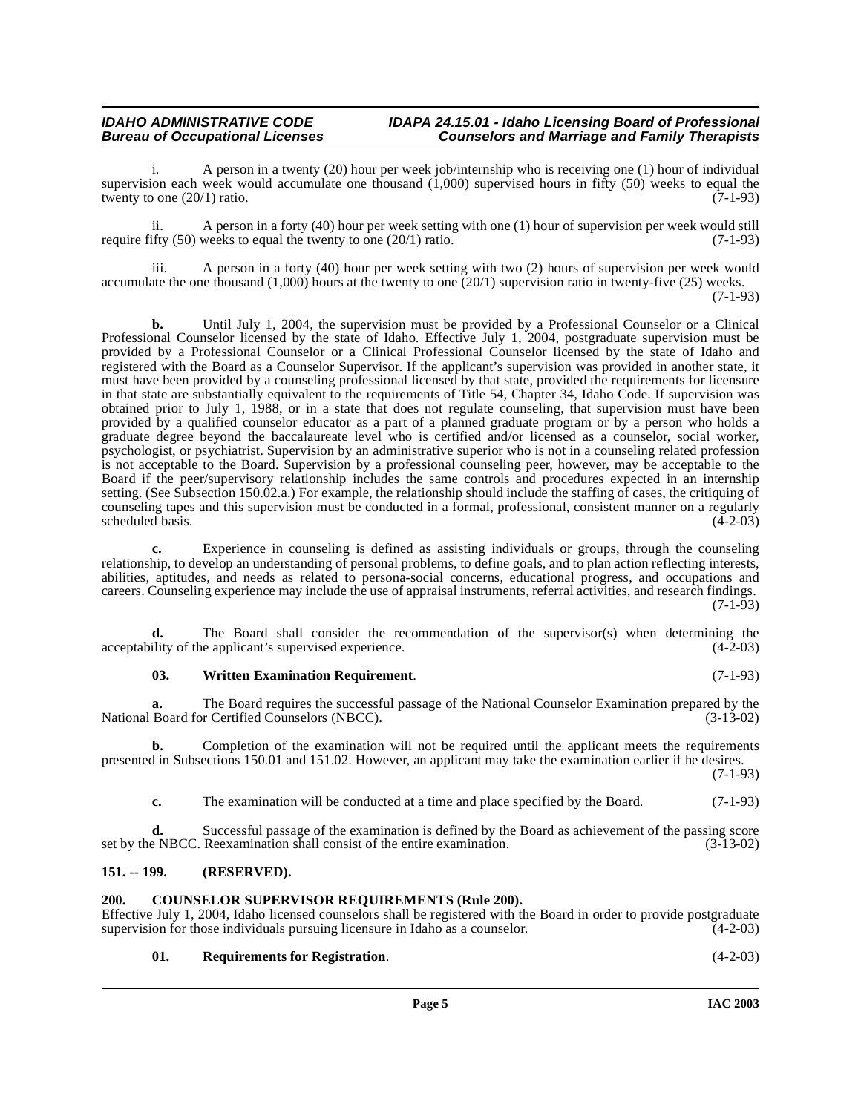#### **IDAHO ADMINISTRATIVE CODE IDAPA 24.15.01 - Idaho Licensing Board of Professional<br>Bureau of Occupational Licenses Counselors and Marriage and Family Therapists Counselors and Marriage and Family Therapists**

A person in a twenty (20) hour per week job/internship who is receiving one (1) hour of individual supervision each week would accumulate one thousand  $(1,000)$  supervised hours in fifty (50) weeks to equal the twenty to one  $(20/1)$  ratio. twenty to one  $(20/1)$  ratio.

ii. A person in a forty (40) hour per week setting with one (1) hour of supervision per week would still require fifty  $(50)$  weeks to equal the twenty to one  $(20/1)$  ratio.  $(7-1-93)$ 

iii. A person in a forty (40) hour per week setting with two (2) hours of supervision per week would accumulate the one thousand (1,000) hours at the twenty to one (20/1) supervision ratio in twenty-five (25) weeks. (7-1-93)

**b.** Until July 1, 2004, the supervision must be provided by a Professional Counselor or a Clinical Professional Counselor licensed by the state of Idaho. Effective July 1, 2004, postgraduate supervision must be provided by a Professional Counselor or a Clinical Professional Counselor licensed by the state of Idaho and registered with the Board as a Counselor Supervisor. If the applicant's supervision was provided in another state, it must have been provided by a counseling professional licensed by that state, provided the requirements for licensure in that state are substantially equivalent to the requirements of Title 54, Chapter 34, Idaho Code. If supervision was obtained prior to July 1, 1988, or in a state that does not regulate counseling, that supervision must have been provided by a qualified counselor educator as a part of a planned graduate program or by a person who holds a graduate degree beyond the baccalaureate level who is certified and/or licensed as a counselor, social worker, psychologist, or psychiatrist. Supervision by an administrative superior who is not in a counseling related profession is not acceptable to the Board. Supervision by a professional counseling peer, however, may be acceptable to the Board if the peer/supervisory relationship includes the same controls and procedures expected in an internship setting. (See Subsection 150.02.a.) For example, the relationship should include the staffing of cases, the critiquing of counseling tapes and this supervision must be conducted in a formal, professional, consistent manner on a regularly scheduled basis.

**c.** Experience in counseling is defined as assisting individuals or groups, through the counseling relationship, to develop an understanding of personal problems, to define goals, and to plan action reflecting interests, abilities, aptitudes, and needs as related to persona-social concerns, educational progress, and occupations and careers. Counseling experience may include the use of appraisal instruments, referral activities, and research findings. (7-1-93)

**d.** The Board shall consider the recommendation of the supervisor(s) when determining the acceptability of the applicant's supervised experience. (4-2-03)

#### <span id="page-4-4"></span>**03. Written Examination Requirement**. (7-1-93)

**a.** The Board requires the successful passage of the National Counselor Examination prepared by the Board for Certified Counselors (NBCC).  $(3-13-02)$ National Board for Certified Counselors (NBCC).

**b.** Completion of the examination will not be required until the applicant meets the requirements presented in Subsections 150.01 and 151.02. However, an applicant may take the examination earlier if he desires.

(7-1-93)

**c.** The examination will be conducted at a time and place specified by the Board. (7-1-93)

**d.** Successful passage of the examination is defined by the Board as achievement of the passing score as NBCC. Reexamination shall consist of the entire examination. (3-13-02) set by the NBCC. Reexamination shall consist of the entire examination.

#### <span id="page-4-0"></span>**151. -- 199. (RESERVED).**

#### <span id="page-4-2"></span><span id="page-4-1"></span>**200. COUNSELOR SUPERVISOR REQUIREMENTS (Rule 200).**

Effective July 1, 2004, Idaho licensed counselors shall be registered with the Board in order to provide postgraduate supervision for those individuals pursuing licensure in Idaho as a counselor. (4-2-03) supervision for those individuals pursuing licensure in Idaho as a counselor.

<span id="page-4-3"></span>

| 01. | <b>Requirements for Registration.</b> | $(4-2-03)$ |
|-----|---------------------------------------|------------|
|-----|---------------------------------------|------------|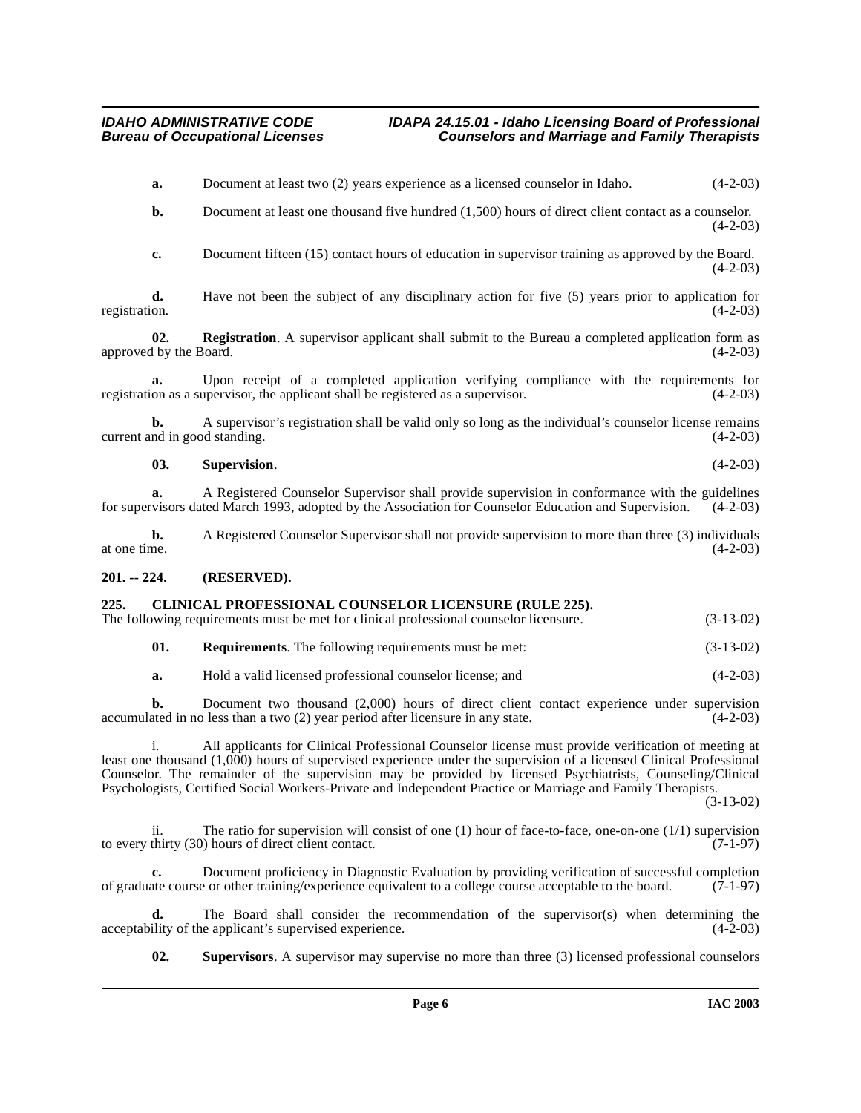- **a.** Document at least two (2) years experience as a licensed counselor in Idaho.  $(4-2-03)$
- **b.** Document at least one thousand five hundred (1,500) hours of direct client contact as a counselor.  $(4-2-03)$
- **c.** Document fifteen (15) contact hours of education in supervisor training as approved by the Board.  $(4-2-03)$

**d.** Have not been the subject of any disciplinary action for five (5) years prior to application for registration.  $(4-2-03)$ registration. (4-2-03)

**02. Registration**. A supervisor applicant shall submit to the Bureau a completed application form as 1 by the Board. (4-2-03) approved by the Board.

**a.** Upon receipt of a completed application verifying compliance with the requirements for on as a supervisor, the applicant shall be registered as a supervisor.  $(4-2-03)$ registration as a supervisor, the applicant shall be registered as a supervisor.

**b.** A supervisor's registration shall be valid only so long as the individual's counselor license remains current and in good standing. (4-2-03)

#### **03. Supervision**. (4-2-03)

**a.** A Registered Counselor Supervisor shall provide supervision in conformance with the guidelines for supervisors dated March 1993, adopted by the Association for Counselor Education and Supervision. (4-2-03)

**b.** A Registered Counselor Supervisor shall not provide supervision to more than three (3) individuals at one time.  $(4-2-03)$ at one time.  $(4-2-03)$ 

#### <span id="page-5-0"></span>**201. -- 224. (RESERVED).**

### <span id="page-5-2"></span><span id="page-5-1"></span>**225. CLINICAL PROFESSIONAL COUNSELOR LICENSURE (RULE 225).**

The following requirements must be met for clinical professional counselor licensure. (3-13-02)

| 01. |  | <b>Requirements.</b> The following requirements must be met: | $(3-13-02)$ |
|-----|--|--------------------------------------------------------------|-------------|
|-----|--|--------------------------------------------------------------|-------------|

**a.** Hold a valid licensed professional counselor license; and (4-2-03)

**b.** Document two thousand (2,000) hours of direct client contact experience under supervision ated in no less than a two (2) year period after licensure in any state. (4-2-03) accumulated in no less than a two  $(2)$  year period after licensure in any state.

i. All applicants for Clinical Professional Counselor license must provide verification of meeting at least one thousand (1,000) hours of supervised experience under the supervision of a licensed Clinical Professional Counselor. The remainder of the supervision may be provided by licensed Psychiatrists, Counseling/Clinical Psychologists, Certified Social Workers-Private and Independent Practice or Marriage and Family Therapists.

(3-13-02)

ii. The ratio for supervision will consist of one (1) hour of face-to-face, one-on-one (1/1) supervision to every thirty (30) hours of direct client contact. (7-1-97)

**c.** Document proficiency in Diagnostic Evaluation by providing verification of successful completion of graduate course or other training/experience equivalent to a college course acceptable to the board. (7-1-97)

The Board shall consider the recommendation of the supervisor(s) when determining the e applicant's supervised experience. (4-2-03) acceptability of the applicant's supervised experience.

<span id="page-5-3"></span>**02. Supervisors**. A supervisor may supervise no more than three (3) licensed professional counselors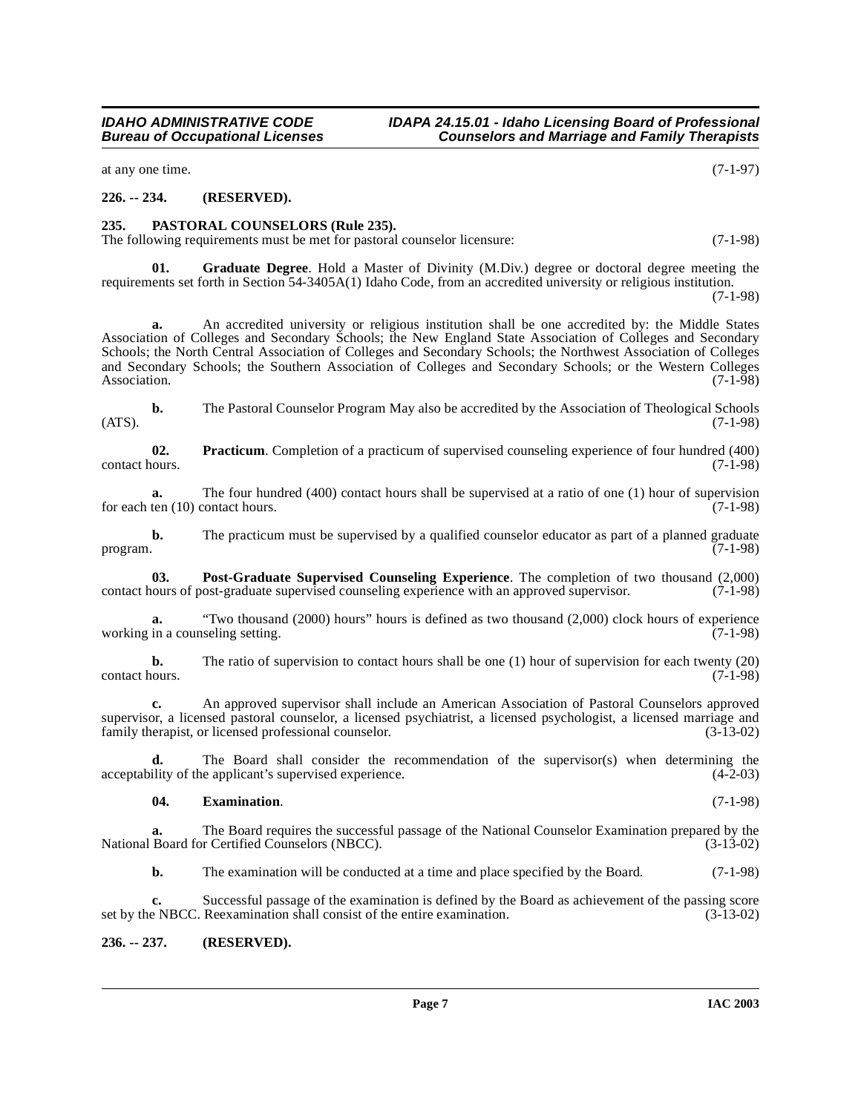## **IDAHO ADMINISTRATIVE CODE IDAPA 24.15.01 - Idaho Licensing Board of Professional<br>Bureau of Occupational Licenses Counselors and Marriage and Family Therapists**

#### **226. -- 234. (RESERVED).**

<span id="page-6-0"></span>**235. PASTORAL COUNSELORS (Rule 235).** 

The following requirements must be met for pastoral counselor licensure: (7-1-98)

<span id="page-6-3"></span>**01. Graduate Degree**. Hold a Master of Divinity (M.Div.) degree or doctoral degree meeting the requirements set forth in Section 54-3405A(1) Idaho Code, from an accredited university or religious institution. (7-1-98)

**a.** An accredited university or religious institution shall be one accredited by: the Middle States Association of Colleges and Secondary Schools; the New England State Association of Colleges and Secondary Schools; the North Central Association of Colleges and Secondary Schools; the Northwest Association of Colleges and Secondary Schools; the Southern Association of Colleges and Secondary Schools; or the Western Colleges Association. (7-1-98)

**b.** The Pastoral Counselor Program May also be accredited by the Association of Theological Schools  $(ATS)$ .  $(7-1-98)$ 

<span id="page-6-5"></span>**02.** Practicum. Completion of a practicum of supervised counseling experience of four hundred (400) contact hours. (7-1-98) contact hours. (7-1-98)

**a.** The four hundred (400) contact hours shall be supervised at a ratio of one (1) hour of supervision for each ten (10) contact hours. (7-1-98)

**b.** The practicum must be supervised by a qualified counselor educator as part of a planned graduate program.  $(7-1-98)$ 

<span id="page-6-4"></span>**03. Post-Graduate Supervised Counseling Experience**. The completion of two thousand (2,000) contact hours of post-graduate supervised counseling experience with an approved supervisor. (7-1-98)

**a.** "Two thousand (2000) hours" hours is defined as two thousand (2,000) clock hours of experience working in a counseling setting. (7-1-98)

**b.** The ratio of supervision to contact hours shall be one (1) hour of supervision for each twenty (20) contact hours. (7-1-98) contact hours. (7-1-98)

**c.** An approved supervisor shall include an American Association of Pastoral Counselors approved supervisor, a licensed pastoral counselor, a licensed psychiatrist, a licensed psychologist, a licensed marriage and family therapist, or licensed professional counselor. (3-13-02) family therapist, or licensed professional counselor.

**d.** The Board shall consider the recommendation of the supervisor(s) when determining the acceptability of the applicant's supervised experience. (4-2-03)

#### <span id="page-6-2"></span>**04. Examination**. (7-1-98)

**a.** The Board requires the successful passage of the National Counselor Examination prepared by the Board for Certified Counselors (NBCC). (3-13-02) National Board for Certified Counselors (NBCC).

**b.** The examination will be conducted at a time and place specified by the Board. (7-1-98)

**c.** Successful passage of the examination is defined by the Board as achievement of the passing score set by the NBCC. Reexamination shall consist of the entire examination. (3-13-02)

#### <span id="page-6-1"></span>**236. -- 237. (RESERVED).**

**Counselors and Marriage and Family Therapists** at any one time. (7-1-97)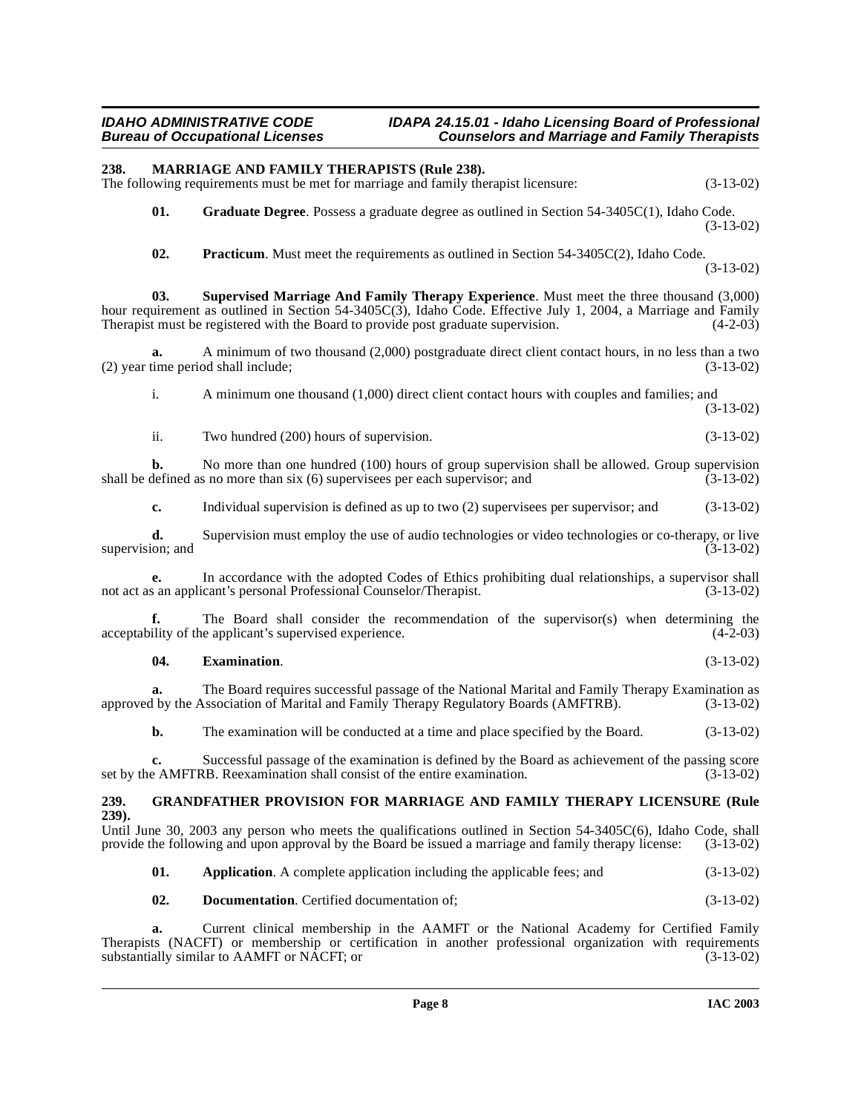## <span id="page-7-7"></span><span id="page-7-6"></span><span id="page-7-5"></span><span id="page-7-3"></span><span id="page-7-0"></span>**238. MARRIAGE AND FAMILY THERAPISTS (Rule 238).**  The following requirements must be met for marriage and family therapist licensure: (3-13-02) **01. Graduate Degree**. Possess a graduate degree as outlined in Section 54-3405C(1), Idaho Code. (3-13-02) **02. Practicum**. Must meet the requirements as outlined in Section 54-3405C(2), Idaho Code. (3-13-02) **03. Supervised Marriage And Family Therapy Experience**. Must meet the three thousand (3,000) hour requirement as outlined in Section 54-3405C(3), Idaho Code. Effective July 1, 2004, a Marriage and Family<br>Therapist must be registered with the Board to provide post graduate supervision. (4-2-03) Therapist must be registered with the Board to provide post graduate supervision. **a.** A minimum of two thousand (2,000) postgraduate direct client contact hours, in no less than a two (2) year time period shall include; (3-13-02) i. A minimum one thousand (1,000) direct client contact hours with couples and families; and (3-13-02) ii. Two hundred (200) hours of supervision. (3-13-02) **b.** No more than one hundred (100) hours of group supervision shall be allowed. Group supervision defined as no more than six (6) supervisees per each supervisor; and (3-13-02) shall be defined as no more than  $s$ ix  $(6)$  supervisees per each supervisor; and **c.** Individual supervision is defined as up to two (2) supervisees per supervisor; and (3-13-02) **d.** Supervision must employ the use of audio technologies or video technologies or co-therapy, or live ion; and  $(3-13-02)$ supervision; and **e.** In accordance with the adopted Codes of Ethics prohibiting dual relationships, a supervisor shall s an applicant's personal Professional Counselor/Therapist. (3-13-02) not act as an applicant's personal Professional Counselor/Therapist. **f.** The Board shall consider the recommendation of the supervisor(s) when determining the acceptability of the applicant's supervised experience. (4-2-03) **04. Examination**. (3-13-02) **a.** The Board requires successful passage of the National Marital and Family Therapy Examination as approved by the Association of Marital and Family Therapy Regulatory Boards (AMFTRB). (3-13-02) **b.** The examination will be conducted at a time and place specified by the Board.  $(3-13-02)$ **c.** Successful passage of the examination is defined by the Board as achievement of the passing score set by the AMFTRB. Reexamination shall consist of the entire examination. (3-13-02) **239. GRANDFATHER PROVISION FOR MARRIAGE AND FAMILY THERAPY LICENSURE (Rule 239).** Until June 30, 2003 any person who meets the qualifications outlined in Section 54-3405C(6), Idaho Code, shall provide the following and upon approval by the Board be issued a marriage and family therapy license: (3-13-02) **01. Application**. A complete application including the applicable fees; and (3-13-02) **02. Documentation**. Certified documentation of; (3-13-02) **a.** Current clinical membership in the AAMFT or the National Academy for Certified Family

<span id="page-7-4"></span><span id="page-7-2"></span><span id="page-7-1"></span>Therapists (NACFT) or membership or certification in another professional organization with requirements substantially similar to AAMFT or NACFT; or substantially similar to AAMFT or NACFT; or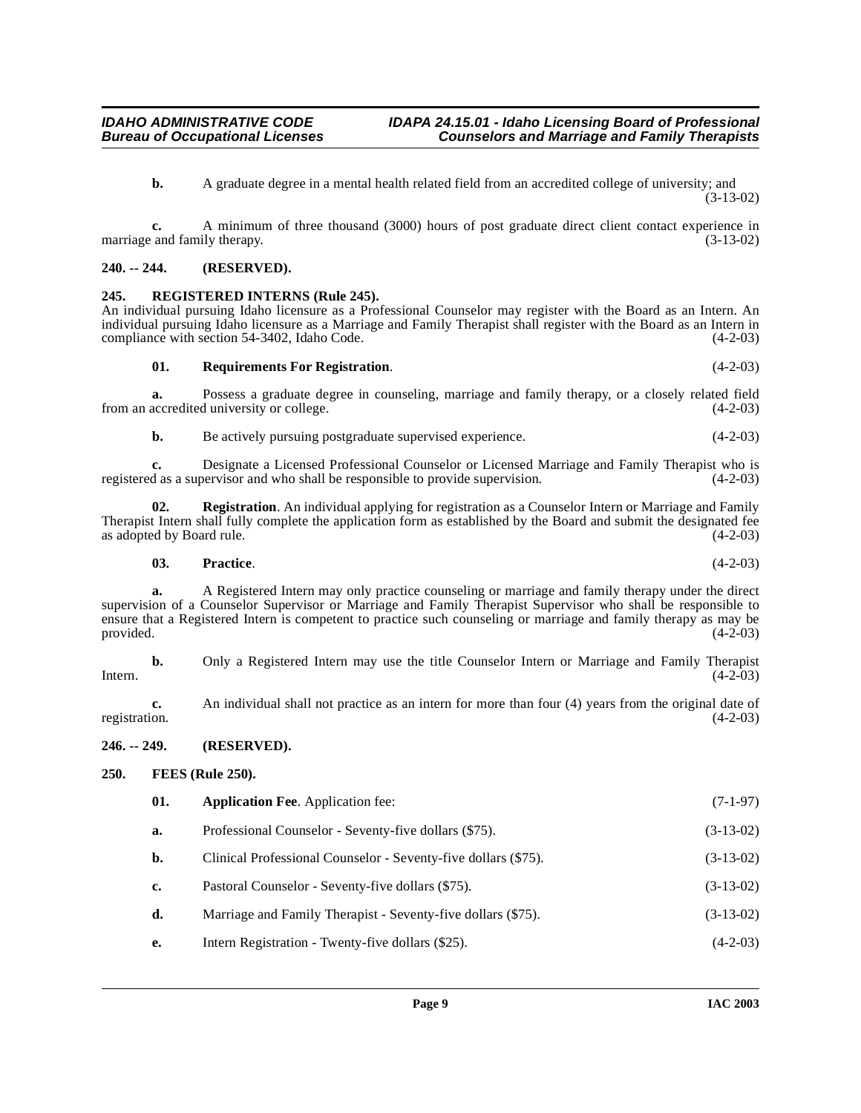**b.** A graduate degree in a mental health related field from an accredited college of university; and  $(3-13-02)$ 

**c.** A minimum of three thousand (3000) hours of post graduate direct client contact experience in marriage and family therapy. (3-13-02)

#### <span id="page-8-0"></span>**240. -- 244. (RESERVED).**

#### <span id="page-8-6"></span><span id="page-8-1"></span>**245. REGISTERED INTERNS (Rule 245).**

An individual pursuing Idaho licensure as a Professional Counselor may register with the Board as an Intern. An individual pursuing Idaho licensure as a Marriage and Family Therapist shall register with the Board as an Intern in compliance with section 54-3402, Idaho Code.

#### <span id="page-8-7"></span>**01. Requirements For Registration**. (4-2-03)

**a.** Possess a graduate degree in counseling, marriage and family therapy, or a closely related field accredited university or college.  $(4-2-03)$ from an accredited university or college.

**b.** Be actively pursuing postgraduate supervised experience. (4-2-03)

**c.** Designate a Licensed Professional Counselor or Licensed Marriage and Family Therapist who is d as a supervisor and who shall be responsible to provide supervision. (4-2-03) registered as a supervisor and who shall be responsible to provide supervision.

**02. Registration**. An individual applying for registration as a Counselor Intern or Marriage and Family Therapist Intern shall fully complete the application form as established by the Board and submit the designated fee as adopted by Board rule.

#### **03. Practice**. (4-2-03)

**a.** A Registered Intern may only practice counseling or marriage and family therapy under the direct supervision of a Counselor Supervisor or Marriage and Family Therapist Supervisor who shall be responsible to ensure that a Registered Intern is competent to practice such counseling or marriage and family therapy as may be provided. (4-2-03) provided.  $(4-2-03)$ 

**b.** Only a Registered Intern may use the title Counselor Intern or Marriage and Family Therapist (4-2-03) Intern.  $(4-2-03)$ 

**c.** An individual shall not practice as an intern for more than four (4) years from the original date of registration. (4-2-03) registration. (4-2-03)

#### <span id="page-8-2"></span>**246. -- 249. (RESERVED).**

#### <span id="page-8-3"></span>**250. FEES (Rule 250).**

<span id="page-8-5"></span><span id="page-8-4"></span>

| 01. | <b>Application Fee.</b> Application fee:                       | $(7-1-97)$  |
|-----|----------------------------------------------------------------|-------------|
| a.  | Professional Counselor - Seventy-five dollars (\$75).          | $(3-13-02)$ |
| b.  | Clinical Professional Counselor - Seventy-five dollars (\$75). | $(3-13-02)$ |
| c.  | Pastoral Counselor - Seventy-five dollars (\$75).              | $(3-13-02)$ |
| d.  | Marriage and Family Therapist - Seventy-five dollars (\$75).   | $(3-13-02)$ |
| e.  | Intern Registration - Twenty-five dollars (\$25).              | $(4-2-03)$  |
|     |                                                                |             |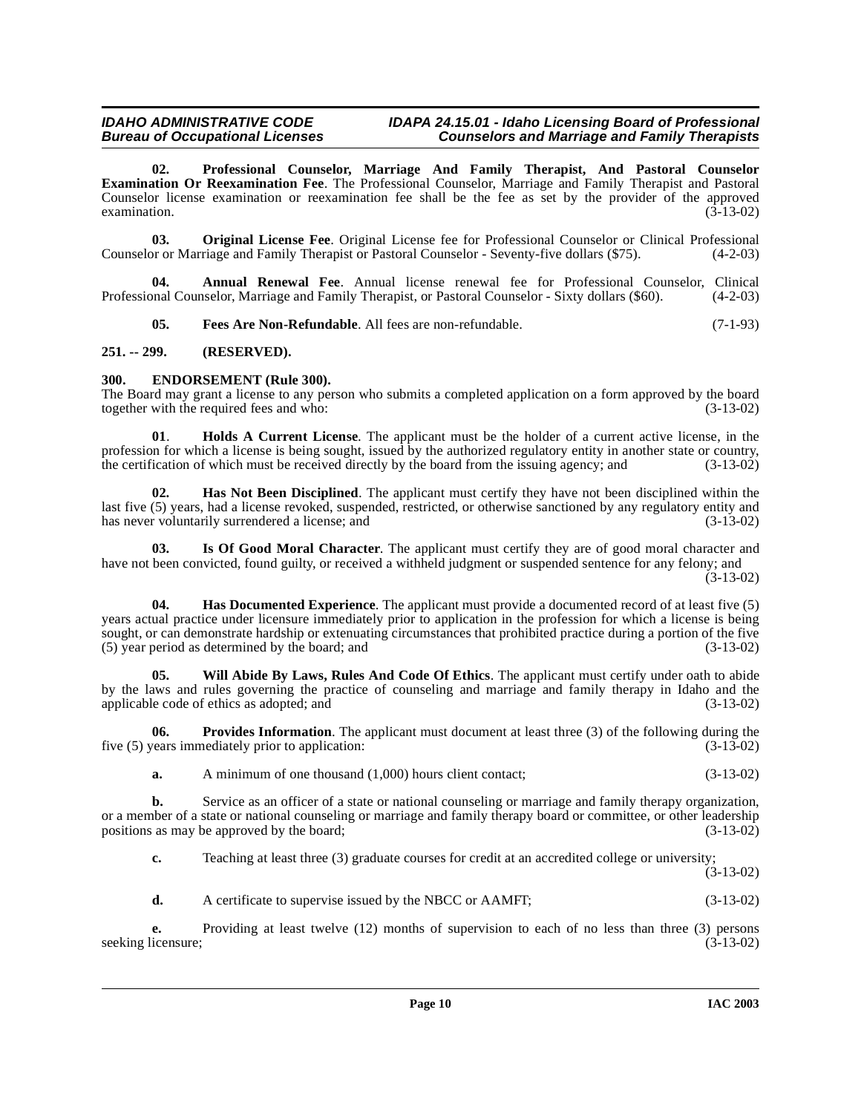# **IDAHO ADMINISTRATIVE CODE IDAPA 24.15.01 - Idaho Licensing Board of Professional**

# **Bureau Counselors and Marriage and Family Therapists**

<span id="page-9-10"></span>**02. Professional Counselor, Marriage And Family Therapist, And Pastoral Counselor Examination Or Reexamination Fee**. The Professional Counselor, Marriage and Family Therapist and Pastoral Counselor license examination or reexamination fee shall be the fee as set by the provider of the approved examination.  $(3-13-02)$ 

<span id="page-9-9"></span>**03. Original License Fee**. Original License fee for Professional Counselor or Clinical Professional or or Marriage and Family Therapist or Pastoral Counselor - Seventy-five dollars (\$75). (4-2-03) Counselor or Marriage and Family Therapist or Pastoral Counselor - Seventy-five dollars (\$75).

**04. Annual Renewal Fee**. Annual license renewal fee for Professional Counselor, Clinical Professional Counselor, Marriage and Family Therapist, or Pastoral Counselor - Sixty dollars (\$60). (4-2-03)

<span id="page-9-5"></span><span id="page-9-4"></span><span id="page-9-3"></span>**05. Fees Are Non-Refundable**. All fees are non-refundable. (7-1-93)

#### <span id="page-9-0"></span>**251. -- 299. (RESERVED).**

#### <span id="page-9-1"></span>**300. ENDORSEMENT (Rule 300).**

The Board may grant a license to any person who submits a completed application on a form approved by the board together with the required fees and who:  $(3-13-02)$ together with the required fees and who:

<span id="page-9-8"></span>**01**. **Holds A Current License**. The applicant must be the holder of a current active license, in the profession for which a license is being sought, issued by the authorized regulatory entity in another state or country, the certification of which must be received directly by the board from the issuing agency; and (3-13-0 the certification of which must be received directly by the board from the issuing agency; and

<span id="page-9-7"></span>**02. Has Not Been Disciplined**. The applicant must certify they have not been disciplined within the last five (5) years, had a license revoked, suspended, restricted, or otherwise sanctioned by any regulatory entity and has never voluntarily surrendered a license; and (3-13-02)

<span id="page-9-6"></span>**03. Is Of Good Moral Character**. The applicant must certify they are of good moral character and have not been convicted, found guilty, or received a withheld judgment or suspended sentence for any felony; and  $(3-13-02)$ 

**04. Has Documented Experience**. The applicant must provide a documented record of at least five (5) years actual practice under licensure immediately prior to application in the profession for which a license is being sought, or can demonstrate hardship or extenuating circumstances that prohibited practice during a portion of the five (5) year period as determined by the board; and (3-13-02)

<span id="page-9-2"></span>**05. Will Abide By Laws, Rules And Code Of Ethics**. The applicant must certify under oath to abide by the laws and rules governing the practice of counseling and marriage and family therapy in Idaho and the applicable code of ethics as adopted; and (3-13-02)

**06. Provides Information**. The applicant must document at least three (3) of the following during the rears immediately prior to application: five  $(5)$  years immediately prior to application:

<span id="page-9-11"></span>**a.** A minimum of one thousand (1,000) hours client contact; (3-13-02)

**b.** Service as an officer of a state or national counseling or marriage and family therapy organization, or a member of a state or national counseling or marriage and family therapy board or committee, or other leadership positions as may be approved by the board; (3-13-02)

**c.** Teaching at least three (3) graduate courses for credit at an accredited college or university;  $(3-13-02)$ 

**d.** A certificate to supervise issued by the NBCC or AAMFT; (3-13-02)

**e.** Providing at least twelve (12) months of supervision to each of no less than three (3) persons licensure; (3-13-02) seeking licensure;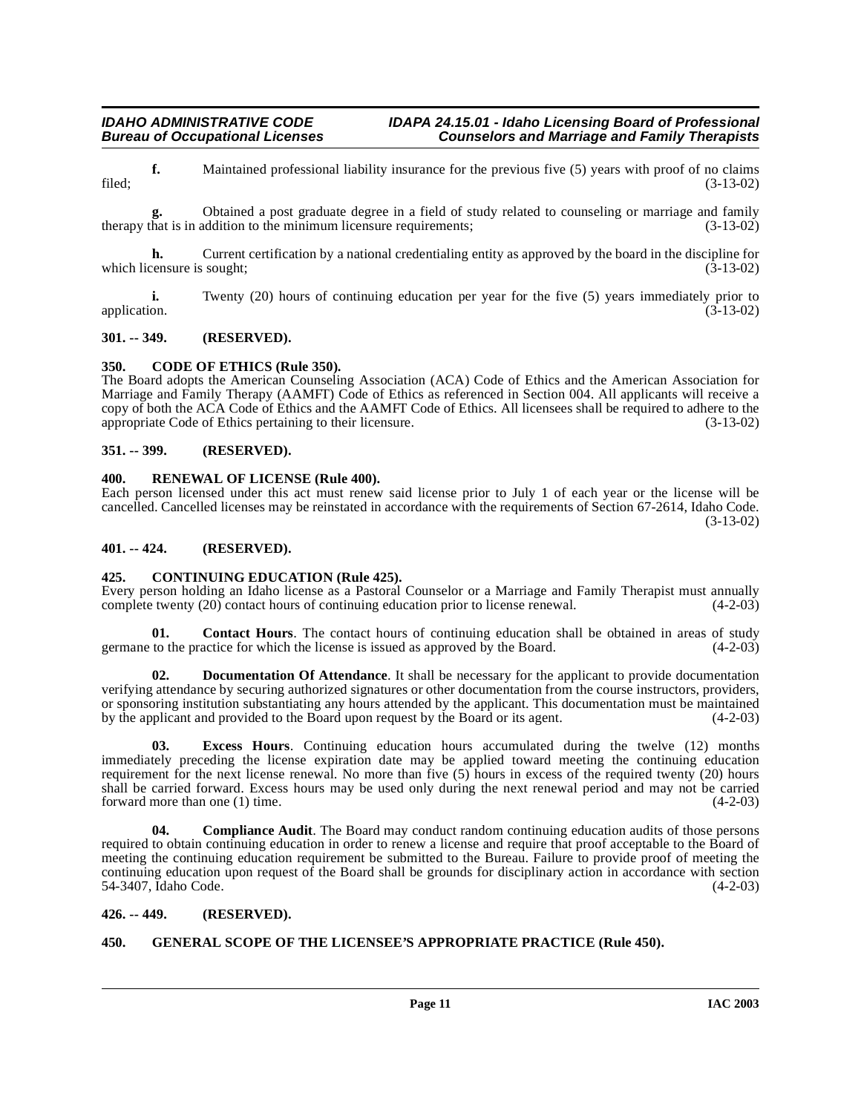#### **IDAHO ADMINISTRATIVE CODE IDAPA 24.15.01 - Idaho Licensing Board of Professional<br>Bureau of Occupational Licenses Counselors and Marriage and Family Therapists Counselors and Marriage and Family Therapists**

**f.** Maintained professional liability insurance for the previous five (5) years with proof of no claims (3-13-02) filed; (3-13-02)

**g.** Obtained a post graduate degree in a field of study related to counseling or marriage and family therapy that is in addition to the minimum licensure requirements; (3-13-02)

**h.** Current certification by a national credentialing entity as approved by the board in the discipline for censure is sought; (3-13-02) which licensure is sought;

**i.** Twenty (20) hours of continuing education per year for the five (5) years immediately prior to application. (3-13-02)

#### <span id="page-10-0"></span>**301. -- 349. (RESERVED).**

#### <span id="page-10-8"></span><span id="page-10-1"></span>**350. CODE OF ETHICS (Rule 350).**

The Board adopts the American Counseling Association (ACA) Code of Ethics and the American Association for Marriage and Family Therapy (AAMFT) Code of Ethics as referenced in Section 004. All applicants will receive a copy of both the ACA Code of Ethics and the AAMFT Code of Ethics. All licensees shall be required to adhere to the appropriate Code of Ethics pertaining to their licensure. (3-13-02)

#### <span id="page-10-2"></span>**351. -- 399. (RESERVED).**

#### <span id="page-10-12"></span><span id="page-10-3"></span>**400. RENEWAL OF LICENSE (Rule 400).**

Each person licensed under this act must renew said license prior to July 1 of each year or the license will be cancelled. Cancelled licenses may be reinstated in accordance with the requirements of Section 67-2614, Idaho Code. (3-13-02)

#### <span id="page-10-4"></span>**401. -- 424. (RESERVED).**

#### <span id="page-10-10"></span><span id="page-10-5"></span>**425. CONTINUING EDUCATION (Rule 425).**

Every person holding an Idaho license as a Pastoral Counselor or a Marriage and Family Therapist must annually complete twenty (20) contact hours of continuing education prior to license renewal. (4-2-03) complete twenty (20) contact hours of continuing education prior to license renewal.

<span id="page-10-9"></span>**01.** Contact Hours. The contact hours of continuing education shall be obtained in areas of study to the practice for which the license is issued as approved by the Board. (4-2-03) germane to the practice for which the license is issued as approved by the Board.

**Documentation Of Attendance**. It shall be necessary for the applicant to provide documentation verifying attendance by securing authorized signatures or other documentation from the course instructors, providers, or sponsoring institution substantiating any hours attended by the applicant. This documentation must be maintained<br>by the applicant and provided to the Board upon request by the Board or its agent. (4-2-03) by the applicant and provided to the Board upon request by the Board or its agent.

**03. Excess Hours**. Continuing education hours accumulated during the twelve (12) months immediately preceding the license expiration date may be applied toward meeting the continuing education requirement for the next license renewal. No more than five (5) hours in excess of the required twenty (20) hours shall be carried forward. Excess hours may be used only during the next renewal period and may not be carried forward more than one (1) time. forward more than one  $(1)$  time.

**04. Compliance Audit**. The Board may conduct random continuing education audits of those persons required to obtain continuing education in order to renew a license and require that proof acceptable to the Board of meeting the continuing education requirement be submitted to the Bureau. Failure to provide proof of meeting the continuing education upon request of the Board shall be grounds for disciplinary action in accordance with section 54-3407, Idaho Code. (4-2-03)

#### <span id="page-10-6"></span>**426. -- 449. (RESERVED).**

#### <span id="page-10-11"></span><span id="page-10-7"></span>**450. GENERAL SCOPE OF THE LICENSEE'S APPROPRIATE PRACTICE (Rule 450).**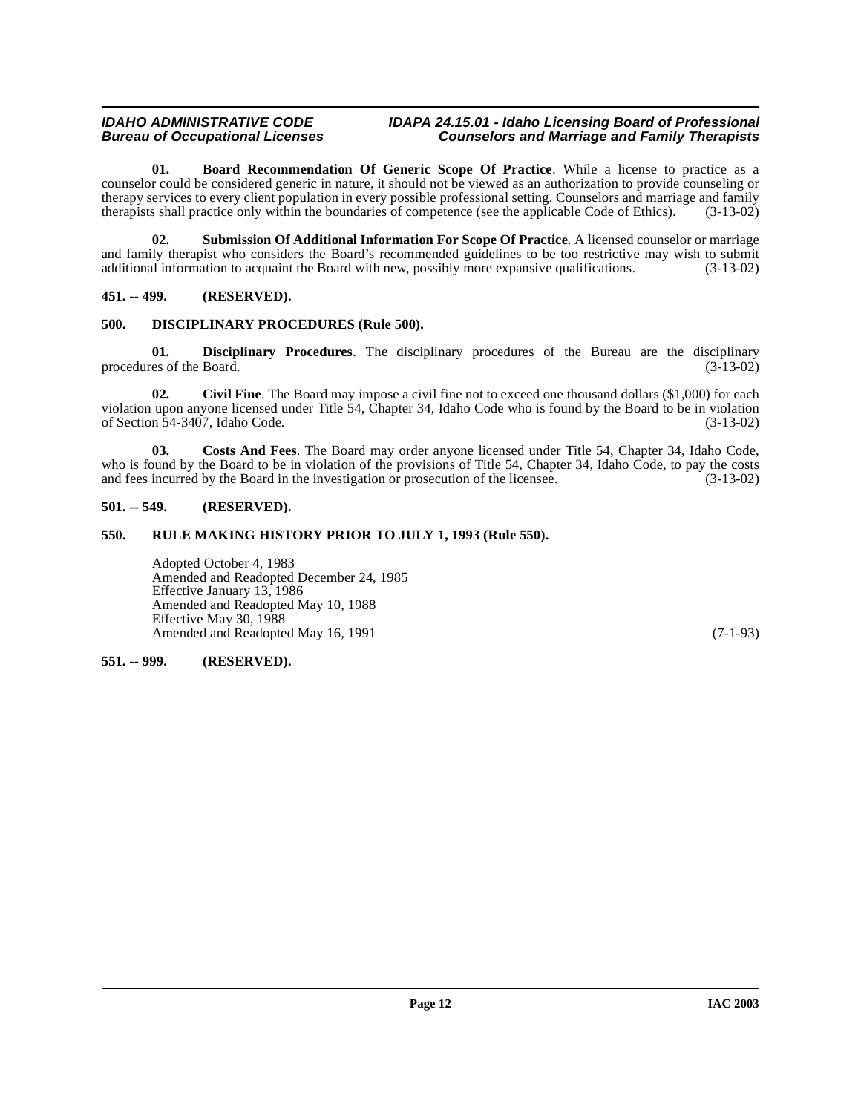#### **IDAHO ADMINISTRATIVE CODE IDAPA 24.15.01 - Idaho Licensing Board of Professional Counselors and Marriage and Family Therapists**

<span id="page-11-5"></span>**01. Board Recommendation Of Generic Scope Of Practice**. While a license to practice as a counselor could be considered generic in nature, it should not be viewed as an authorization to provide counseling or therapy services to every client population in every possible professional setting. Counselors and marriage and family therapists shall practice only within the boundaries of competence (see the applicable Code of Ethics). (3-13-02)

<span id="page-11-9"></span>**02. Submission Of Additional Information For Scope Of Practice**. A licensed counselor or marriage and family therapist who considers the Board's recommended guidelines to be too restrictive may wish to submit additional information to acquaint the Board with new, possibly more expansive qualifications. (3-13-02) additional information to acquaint the Board with new, possibly more expansive qualifications.

<span id="page-11-0"></span>**451. -- 499. (RESERVED).**

#### <span id="page-11-8"></span><span id="page-11-1"></span>**500. DISCIPLINARY PROCEDURES (Rule 500).**

**01. Disciplinary Procedures**. The disciplinary procedures of the Bureau are the disciplinary procedures of the Board. (3-13-02)

<span id="page-11-6"></span>**02.** Civil Fine. The Board may impose a civil fine not to exceed one thousand dollars (\$1,000) for each violation upon anyone licensed under Title 54, Chapter 34, Idaho Code who is found by the Board to be in violation of Section 54-3407, Idaho Code. (3-13-02)

<span id="page-11-7"></span>**03. Costs And Fees**. The Board may order anyone licensed under Title 54, Chapter 34, Idaho Code, who is found by the Board to be in violation of the provisions of Title 54, Chapter 34, Idaho Code, to pay the costs and fees incurred by the Board in the investigation or prosecution of the licensee. (3-13-02) and fees incurred by the Board in the investigation or prosecution of the licensee.

#### <span id="page-11-2"></span>**501. -- 549. (RESERVED).**

#### <span id="page-11-3"></span>**550. RULE MAKING HISTORY PRIOR TO JULY 1, 1993 (Rule 550).**

Adopted October 4, 1983 Amended and Readopted December 24, 1985 Effective January 13, 1986 Amended and Readopted May 10, 1988 Effective May 30, 1988 Amended and Readopted May 16, 1991 (7-1-93)

#### <span id="page-11-4"></span>**551. -- 999. (RESERVED).**